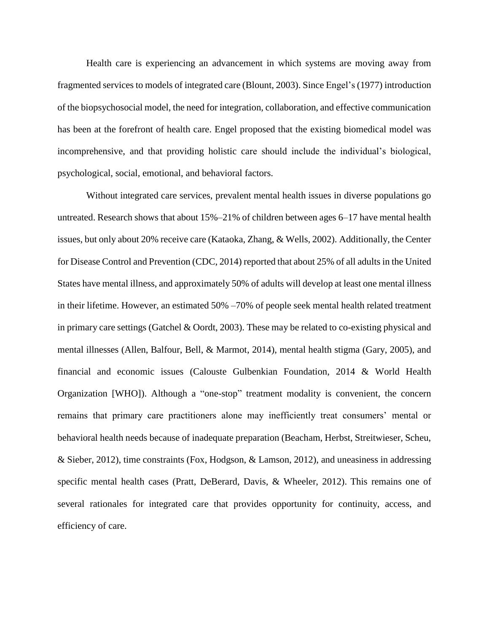Health care is experiencing an advancement in which systems are moving away from fragmented services to models of integrated care (Blount, 2003). Since Engel's (1977) introduction of the biopsychosocial model, the need for integration, collaboration, and effective communication has been at the forefront of health care. Engel proposed that the existing biomedical model was incomprehensive, and that providing holistic care should include the individual's biological, psychological, social, emotional, and behavioral factors.

Without integrated care services, prevalent mental health issues in diverse populations go untreated. Research shows that about 15%–21% of children between ages 6–17 have mental health issues, but only about 20% receive care (Kataoka, Zhang, & Wells, 2002). Additionally, the Center for Disease Control and Prevention (CDC, 2014) reported that about 25% of all adults in the United States have mental illness, and approximately 50% of adults will develop at least one mental illness in their lifetime. However, an estimated 50% –70% of people seek mental health related treatment in primary care settings (Gatchel & Oordt, 2003). These may be related to co-existing physical and mental illnesses (Allen, Balfour, Bell, & Marmot, 2014), mental health stigma (Gary, 2005), and financial and economic issues (Calouste Gulbenkian Foundation, 2014 & World Health Organization [WHO]). Although a "one-stop" treatment modality is convenient, the concern remains that primary care practitioners alone may inefficiently treat consumers' mental or behavioral health needs because of inadequate preparation (Beacham, Herbst, Streitwieser, Scheu, & Sieber, 2012), time constraints (Fox, Hodgson, & Lamson, 2012), and uneasiness in addressing specific mental health cases (Pratt, DeBerard, Davis, & Wheeler, 2012). This remains one of several rationales for integrated care that provides opportunity for continuity, access, and efficiency of care.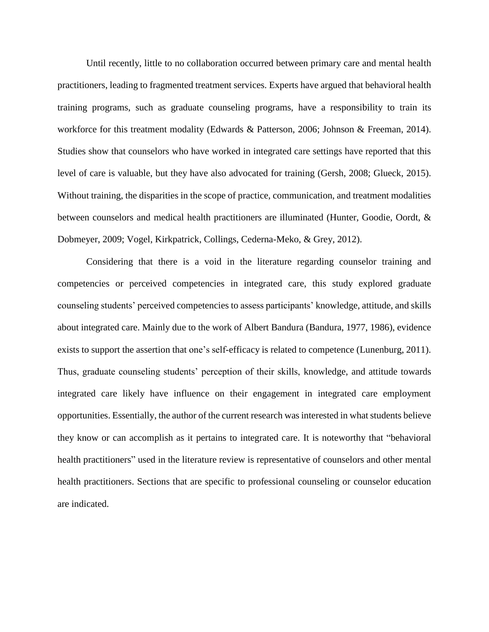Until recently, little to no collaboration occurred between primary care and mental health practitioners, leading to fragmented treatment services. Experts have argued that behavioral health training programs, such as graduate counseling programs, have a responsibility to train its workforce for this treatment modality (Edwards & Patterson, 2006; Johnson & Freeman, 2014). Studies show that counselors who have worked in integrated care settings have reported that this level of care is valuable, but they have also advocated for training (Gersh, 2008; Glueck, 2015). Without training, the disparities in the scope of practice, communication, and treatment modalities between counselors and medical health practitioners are illuminated (Hunter, Goodie, Oordt, & Dobmeyer, 2009; Vogel, Kirkpatrick, Collings, Cederna-Meko, & Grey, 2012).

Considering that there is a void in the literature regarding counselor training and competencies or perceived competencies in integrated care, this study explored graduate counseling students' perceived competencies to assess participants' knowledge, attitude, and skills about integrated care. Mainly due to the work of Albert Bandura (Bandura, 1977, 1986), evidence exists to support the assertion that one's self-efficacy is related to competence (Lunenburg, 2011). Thus, graduate counseling students' perception of their skills, knowledge, and attitude towards integrated care likely have influence on their engagement in integrated care employment opportunities. Essentially, the author of the current research was interested in what students believe they know or can accomplish as it pertains to integrated care. It is noteworthy that "behavioral health practitioners" used in the literature review is representative of counselors and other mental health practitioners. Sections that are specific to professional counseling or counselor education are indicated.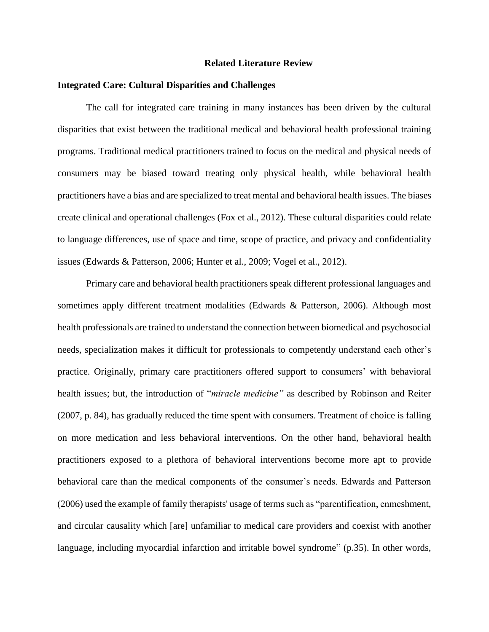### **Related Literature Review**

## **Integrated Care: Cultural Disparities and Challenges**

The call for integrated care training in many instances has been driven by the cultural disparities that exist between the traditional medical and behavioral health professional training programs. Traditional medical practitioners trained to focus on the medical and physical needs of consumers may be biased toward treating only physical health, while behavioral health practitioners have a bias and are specialized to treat mental and behavioral health issues. The biases create clinical and operational challenges (Fox et al., 2012). These cultural disparities could relate to language differences, use of space and time, scope of practice, and privacy and confidentiality issues (Edwards & Patterson, 2006; Hunter et al., 2009; Vogel et al., 2012).

Primary care and behavioral health practitioners speak different professional languages and sometimes apply different treatment modalities (Edwards & Patterson, 2006). Although most health professionals are trained to understand the connection between biomedical and psychosocial needs, specialization makes it difficult for professionals to competently understand each other's practice. Originally, primary care practitioners offered support to consumers' with behavioral health issues; but, the introduction of "*miracle medicine"* as described by Robinson and Reiter (2007, p. 84), has gradually reduced the time spent with consumers. Treatment of choice is falling on more medication and less behavioral interventions. On the other hand, behavioral health practitioners exposed to a plethora of behavioral interventions become more apt to provide behavioral care than the medical components of the consumer's needs. Edwards and Patterson (2006) used the example of family therapists' usage of terms such as "parentification, enmeshment, and circular causality which [are] unfamiliar to medical care providers and coexist with another language, including myocardial infarction and irritable bowel syndrome" (p.35). In other words,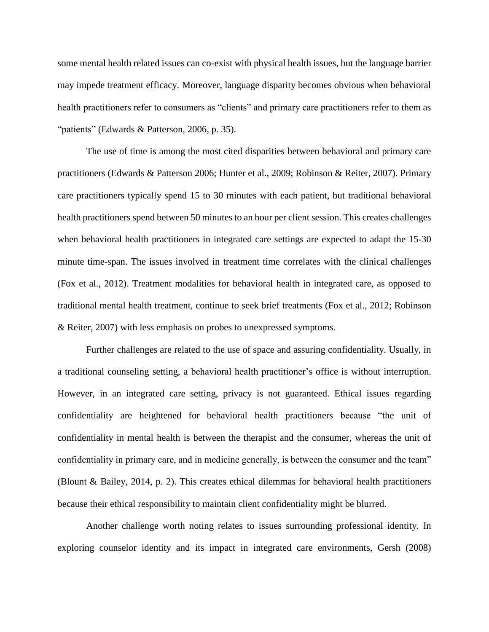some mental health related issues can co-exist with physical health issues, but the language barrier may impede treatment efficacy. Moreover, language disparity becomes obvious when behavioral health practitioners refer to consumers as "clients" and primary care practitioners refer to them as "patients" (Edwards & Patterson, 2006, p. 35).

The use of time is among the most cited disparities between behavioral and primary care practitioners (Edwards & Patterson 2006; Hunter et al., 2009; Robinson & Reiter, 2007). Primary care practitioners typically spend 15 to 30 minutes with each patient, but traditional behavioral health practitioners spend between 50 minutes to an hour per client session. This creates challenges when behavioral health practitioners in integrated care settings are expected to adapt the 15-30 minute time-span. The issues involved in treatment time correlates with the clinical challenges (Fox et al., 2012). Treatment modalities for behavioral health in integrated care, as opposed to traditional mental health treatment, continue to seek brief treatments (Fox et al., 2012; Robinson & Reiter, 2007) with less emphasis on probes to unexpressed symptoms.

Further challenges are related to the use of space and assuring confidentiality. Usually, in a traditional counseling setting, a behavioral health practitioner's office is without interruption. However, in an integrated care setting, privacy is not guaranteed. Ethical issues regarding confidentiality are heightened for behavioral health practitioners because "the unit of confidentiality in mental health is between the therapist and the consumer, whereas the unit of confidentiality in primary care, and in medicine generally, is between the consumer and the team" (Blount & Bailey, 2014, p. 2). This creates ethical dilemmas for behavioral health practitioners because their ethical responsibility to maintain client confidentiality might be blurred.

Another challenge worth noting relates to issues surrounding professional identity. In exploring counselor identity and its impact in integrated care environments, Gersh (2008)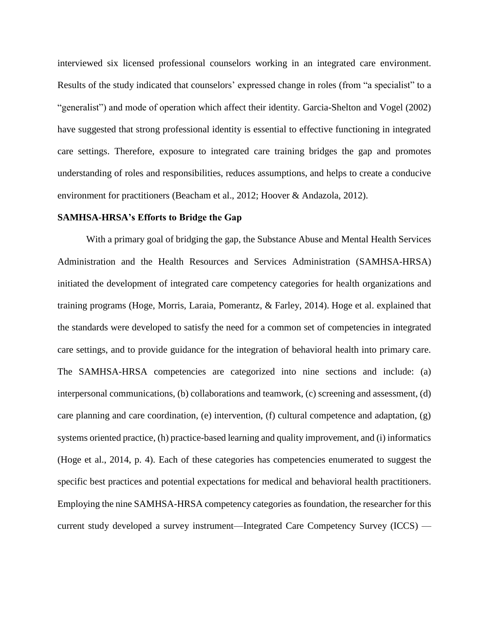interviewed six licensed professional counselors working in an integrated care environment. Results of the study indicated that counselors' expressed change in roles (from "a specialist" to a "generalist") and mode of operation which affect their identity. Garcia-Shelton and Vogel (2002) have suggested that strong professional identity is essential to effective functioning in integrated care settings. Therefore, exposure to integrated care training bridges the gap and promotes understanding of roles and responsibilities, reduces assumptions, and helps to create a conducive environment for practitioners (Beacham et al., 2012; Hoover & Andazola, 2012).

## **SAMHSA-HRSA's Efforts to Bridge the Gap**

With a primary goal of bridging the gap, the Substance Abuse and Mental Health Services Administration and the Health Resources and Services Administration (SAMHSA-HRSA) initiated the development of integrated care competency categories for health organizations and training programs (Hoge, Morris, Laraia, Pomerantz, & Farley, 2014). Hoge et al. explained that the standards were developed to satisfy the need for a common set of competencies in integrated care settings, and to provide guidance for the integration of behavioral health into primary care. The SAMHSA-HRSA competencies are categorized into nine sections and include: (a) interpersonal communications, (b) collaborations and teamwork, (c) screening and assessment, (d) care planning and care coordination, (e) intervention, (f) cultural competence and adaptation, (g) systems oriented practice, (h) practice-based learning and quality improvement, and (i) informatics (Hoge et al., 2014, p. 4). Each of these categories has competencies enumerated to suggest the specific best practices and potential expectations for medical and behavioral health practitioners. Employing the nine SAMHSA-HRSA competency categories as foundation, the researcher for this current study developed a survey instrument—Integrated Care Competency Survey (ICCS) —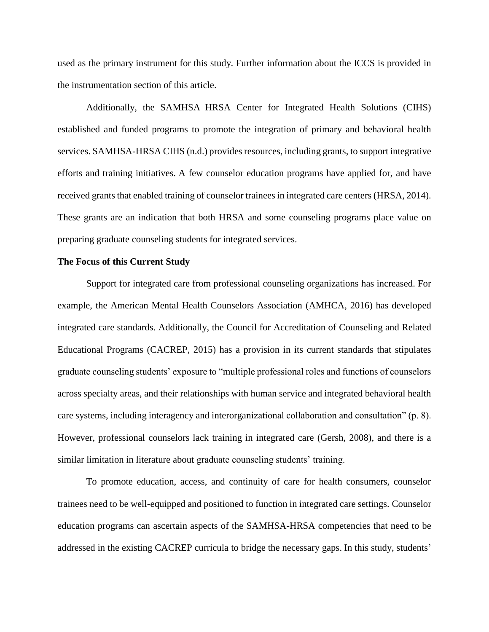used as the primary instrument for this study. Further information about the ICCS is provided in the instrumentation section of this article.

Additionally, the SAMHSA–HRSA Center for Integrated Health Solutions (CIHS) established and funded programs to promote the integration of primary and behavioral health services. SAMHSA-HRSA CIHS (n.d.) provides resources, including grants, to support integrative efforts and training initiatives. A few counselor education programs have applied for, and have received grants that enabled training of counselor trainees in integrated care centers (HRSA, 2014). These grants are an indication that both HRSA and some counseling programs place value on preparing graduate counseling students for integrated services.

## **The Focus of this Current Study**

Support for integrated care from professional counseling organizations has increased. For example, the American Mental Health Counselors Association (AMHCA, 2016) has developed integrated care standards. Additionally, the Council for Accreditation of Counseling and Related Educational Programs (CACREP, 2015) has a provision in its current standards that stipulates graduate counseling students' exposure to "multiple professional roles and functions of counselors across specialty areas, and their relationships with human service and integrated behavioral health care systems, including interagency and interorganizational collaboration and consultation" (p. 8). However, professional counselors lack training in integrated care (Gersh, 2008), and there is a similar limitation in literature about graduate counseling students' training.

To promote education, access, and continuity of care for health consumers, counselor trainees need to be well-equipped and positioned to function in integrated care settings. Counselor education programs can ascertain aspects of the SAMHSA-HRSA competencies that need to be addressed in the existing CACREP curricula to bridge the necessary gaps. In this study, students'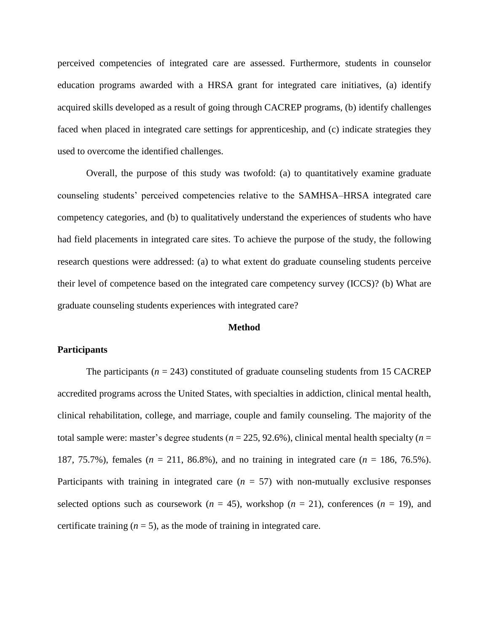perceived competencies of integrated care are assessed. Furthermore, students in counselor education programs awarded with a HRSA grant for integrated care initiatives, (a) identify acquired skills developed as a result of going through CACREP programs, (b) identify challenges faced when placed in integrated care settings for apprenticeship, and (c) indicate strategies they used to overcome the identified challenges.

Overall, the purpose of this study was twofold: (a) to quantitatively examine graduate counseling students' perceived competencies relative to the SAMHSA–HRSA integrated care competency categories, and (b) to qualitatively understand the experiences of students who have had field placements in integrated care sites. To achieve the purpose of the study, the following research questions were addressed: (a) to what extent do graduate counseling students perceive their level of competence based on the integrated care competency survey (ICCS)? (b) What are graduate counseling students experiences with integrated care?

#### **Method**

#### **Participants**

The participants  $(n = 243)$  constituted of graduate counseling students from 15 CACREP accredited programs across the United States, with specialties in addiction, clinical mental health, clinical rehabilitation, college, and marriage, couple and family counseling. The majority of the total sample were: master's degree students (*n* = 225, 92.6%), clinical mental health specialty (*n* = 187, 75.7%), females (*n* = 211, 86.8%), and no training in integrated care (*n* = 186, 76.5%). Participants with training in integrated care  $(n = 57)$  with non-mutually exclusive responses selected options such as coursework  $(n = 45)$ , workshop  $(n = 21)$ , conferences  $(n = 19)$ , and certificate training  $(n = 5)$ , as the mode of training in integrated care.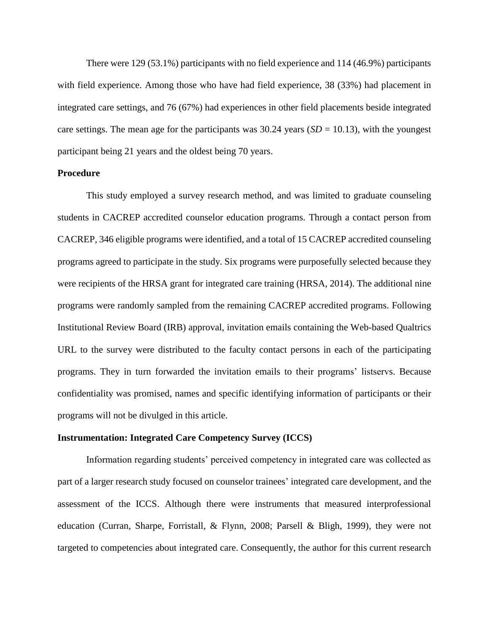There were 129 (53.1%) participants with no field experience and 114 (46.9%) participants with field experience. Among those who have had field experience, 38 (33%) had placement in integrated care settings, and 76 (67%) had experiences in other field placements beside integrated care settings. The mean age for the participants was  $30.24$  years (*SD* = 10.13), with the youngest participant being 21 years and the oldest being 70 years.

## **Procedure**

This study employed a survey research method, and was limited to graduate counseling students in CACREP accredited counselor education programs. Through a contact person from CACREP, 346 eligible programs were identified, and a total of 15 CACREP accredited counseling programs agreed to participate in the study. Six programs were purposefully selected because they were recipients of the HRSA grant for integrated care training (HRSA, 2014). The additional nine programs were randomly sampled from the remaining CACREP accredited programs. Following Institutional Review Board (IRB) approval, invitation emails containing the Web-based Qualtrics URL to the survey were distributed to the faculty contact persons in each of the participating programs. They in turn forwarded the invitation emails to their programs' listservs. Because confidentiality was promised, names and specific identifying information of participants or their programs will not be divulged in this article.

## **Instrumentation: Integrated Care Competency Survey (ICCS)**

Information regarding students' perceived competency in integrated care was collected as part of a larger research study focused on counselor trainees' integrated care development, and the assessment of the ICCS. Although there were instruments that measured interprofessional education (Curran, Sharpe, Forristall, & Flynn, 2008; Parsell & Bligh, 1999), they were not targeted to competencies about integrated care. Consequently, the author for this current research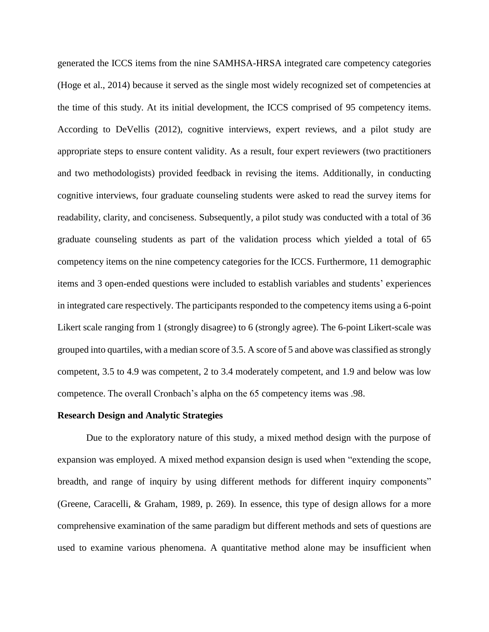generated the ICCS items from the nine SAMHSA-HRSA integrated care competency categories (Hoge et al., 2014) because it served as the single most widely recognized set of competencies at the time of this study. At its initial development, the ICCS comprised of 95 competency items. According to DeVellis (2012), cognitive interviews, expert reviews, and a pilot study are appropriate steps to ensure content validity. As a result, four expert reviewers (two practitioners and two methodologists) provided feedback in revising the items. Additionally, in conducting cognitive interviews, four graduate counseling students were asked to read the survey items for readability, clarity, and conciseness. Subsequently, a pilot study was conducted with a total of 36 graduate counseling students as part of the validation process which yielded a total of 65 competency items on the nine competency categories for the ICCS. Furthermore, 11 demographic items and 3 open-ended questions were included to establish variables and students' experiences in integrated care respectively. The participants responded to the competency items using a 6-point Likert scale ranging from 1 (strongly disagree) to 6 (strongly agree). The 6-point Likert-scale was grouped into quartiles, with a median score of 3.5. A score of 5 and above was classified as strongly competent, 3.5 to 4.9 was competent, 2 to 3.4 moderately competent, and 1.9 and below was low competence. The overall Cronbach's alpha on the 65 competency items was .98.

## **Research Design and Analytic Strategies**

Due to the exploratory nature of this study, a mixed method design with the purpose of expansion was employed. A mixed method expansion design is used when "extending the scope, breadth, and range of inquiry by using different methods for different inquiry components" (Greene, Caracelli, & Graham, 1989, p. 269). In essence, this type of design allows for a more comprehensive examination of the same paradigm but different methods and sets of questions are used to examine various phenomena. A quantitative method alone may be insufficient when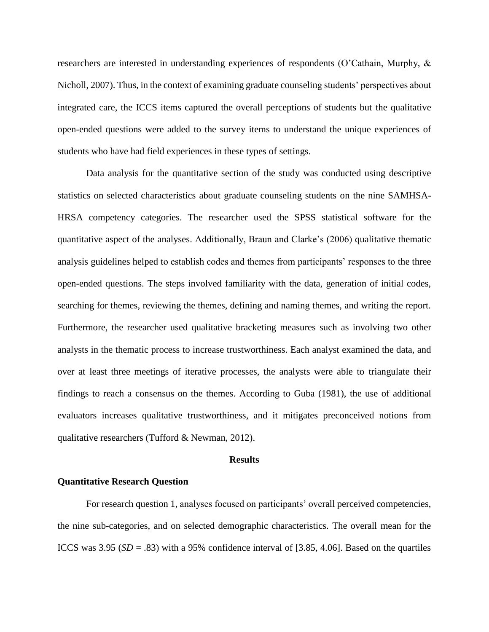researchers are interested in understanding experiences of respondents (O'Cathain, Murphy, & Nicholl, 2007). Thus, in the context of examining graduate counseling students' perspectives about integrated care, the ICCS items captured the overall perceptions of students but the qualitative open-ended questions were added to the survey items to understand the unique experiences of students who have had field experiences in these types of settings.

Data analysis for the quantitative section of the study was conducted using descriptive statistics on selected characteristics about graduate counseling students on the nine SAMHSA-HRSA competency categories. The researcher used the SPSS statistical software for the quantitative aspect of the analyses. Additionally, Braun and Clarke's (2006) qualitative thematic analysis guidelines helped to establish codes and themes from participants' responses to the three open-ended questions. The steps involved familiarity with the data, generation of initial codes, searching for themes, reviewing the themes, defining and naming themes, and writing the report. Furthermore, the researcher used qualitative bracketing measures such as involving two other analysts in the thematic process to increase trustworthiness. Each analyst examined the data, and over at least three meetings of iterative processes, the analysts were able to triangulate their findings to reach a consensus on the themes. According to Guba (1981), the use of additional evaluators increases qualitative trustworthiness, and it mitigates preconceived notions from qualitative researchers (Tufford & Newman, 2012).

#### **Results**

# **Quantitative Research Question**

For research question 1, analyses focused on participants' overall perceived competencies, the nine sub-categories, and on selected demographic characteristics. The overall mean for the ICCS was  $3.95$  (*SD* = .83) with a 95% confidence interval of [3.85, 4.06]. Based on the quartiles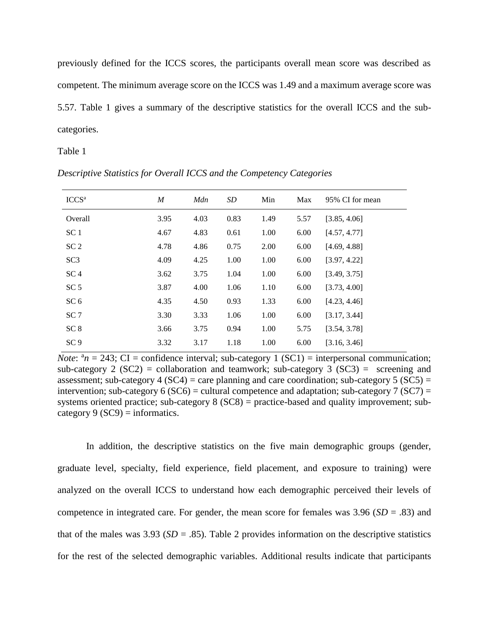previously defined for the ICCS scores, the participants overall mean score was described as competent. The minimum average score on the ICCS was 1.49 and a maximum average score was 5.57. Table 1 gives a summary of the descriptive statistics for the overall ICCS and the subcategories.

Table 1

| ICCS <sup>a</sup> | $\boldsymbol{M}$ | Mdn  | SD   | Min  | Max  | 95% CI for mean |
|-------------------|------------------|------|------|------|------|-----------------|
| Overall           | 3.95             | 4.03 | 0.83 | 1.49 | 5.57 | [3.85, 4.06]    |
| SC <sub>1</sub>   | 4.67             | 4.83 | 0.61 | 1.00 | 6.00 | [4.57, 4.77]    |
| SC <sub>2</sub>   | 4.78             | 4.86 | 0.75 | 2.00 | 6.00 | [4.69, 4.88]    |
| SC <sub>3</sub>   | 4.09             | 4.25 | 1.00 | 1.00 | 6.00 | [3.97, 4.22]    |
| SC <sub>4</sub>   | 3.62             | 3.75 | 1.04 | 1.00 | 6.00 | [3.49, 3.75]    |
| SC <sub>5</sub>   | 3.87             | 4.00 | 1.06 | 1.10 | 6.00 | [3.73, 4.00]    |
| SC <sub>6</sub>   | 4.35             | 4.50 | 0.93 | 1.33 | 6.00 | [4.23, 4.46]    |
| SC <sub>7</sub>   | 3.30             | 3.33 | 1.06 | 1.00 | 6.00 | [3.17, 3.44]    |
| SC <sub>8</sub>   | 3.66             | 3.75 | 0.94 | 1.00 | 5.75 | [3.54, 3.78]    |
| SC <sub>9</sub>   | 3.32             | 3.17 | 1.18 | 1.00 | 6.00 | [3.16, 3.46]    |

*Descriptive Statistics for Overall ICCS and the Competency Categories*

*Note*:  $a_n = 243$ ; CI = confidence interval; sub-category 1 (SC1) = interpersonal communication; sub-category 2 (SC2) = collaboration and teamwork; sub-category 3 (SC3) = screening and assessment; sub-category  $4 (SC4) =$  care planning and care coordination; sub-category  $5 (SC5) =$ intervention; sub-category 6 (SC6) = cultural competence and adaptation; sub-category 7 (SC7) = systems oriented practice; sub-category 8 (SC8) = practice-based and quality improvement; subcategory 9 ( $SC9$ ) = informatics.

In addition, the descriptive statistics on the five main demographic groups (gender, graduate level, specialty, field experience, field placement, and exposure to training) were analyzed on the overall ICCS to understand how each demographic perceived their levels of competence in integrated care. For gender, the mean score for females was 3.96 (*SD* = .83) and that of the males was  $3.93$  (*SD* = .85). Table 2 provides information on the descriptive statistics for the rest of the selected demographic variables. Additional results indicate that participants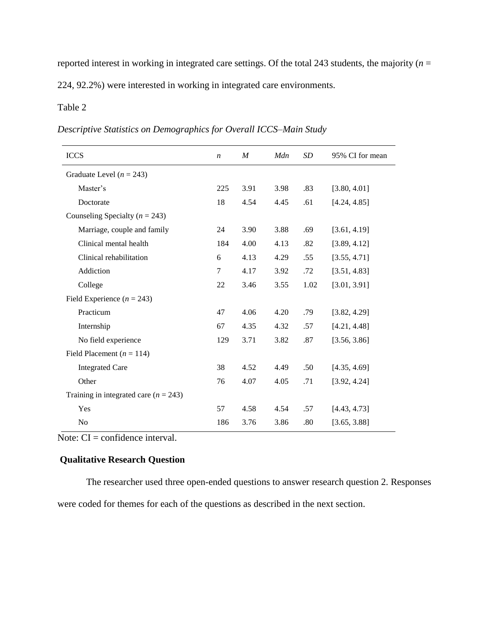reported interest in working in integrated care settings. Of the total 243 students, the majority (*n* =

224, 92.2%) were interested in working in integrated care environments.

# Table 2

*Descriptive Statistics on Demographics for Overall ICCS–Main Study*

| <b>ICCS</b>                             | $\boldsymbol{n}$ | $\boldsymbol{M}$ | Mdn  | <b>SD</b> | 95% CI for mean |
|-----------------------------------------|------------------|------------------|------|-----------|-----------------|
| Graduate Level ( $n = 243$ )            |                  |                  |      |           |                 |
| Master's                                | 225              | 3.91             | 3.98 | .83       | [3.80, 4.01]    |
| Doctorate                               | 18               | 4.54             | 4.45 | .61       | [4.24, 4.85]    |
| Counseling Specialty ( $n = 243$ )      |                  |                  |      |           |                 |
| Marriage, couple and family             | 24               | 3.90             | 3.88 | .69       | [3.61, 4.19]    |
| Clinical mental health                  | 184              | 4.00             | 4.13 | .82       | [3.89, 4.12]    |
| Clinical rehabilitation                 | 6                | 4.13             | 4.29 | .55       | [3.55, 4.71]    |
| Addiction                               | 7                | 4.17             | 3.92 | .72       | [3.51, 4.83]    |
| College                                 | 22               | 3.46             | 3.55 | 1.02      | [3.01, 3.91]    |
| Field Experience $(n = 243)$            |                  |                  |      |           |                 |
| Practicum                               | 47               | 4.06             | 4.20 | .79       | [3.82, 4.29]    |
| Internship                              | 67               | 4.35             | 4.32 | .57       | [4.21, 4.48]    |
| No field experience                     | 129              | 3.71             | 3.82 | .87       | [3.56, 3.86]    |
| Field Placement ( $n = 114$ )           |                  |                  |      |           |                 |
| <b>Integrated Care</b>                  | 38               | 4.52             | 4.49 | .50       | [4.35, 4.69]    |
| Other                                   | 76               | 4.07             | 4.05 | .71       | [3.92, 4.24]    |
| Training in integrated care $(n = 243)$ |                  |                  |      |           |                 |
| Yes                                     | 57               | 4.58             | 4.54 | .57       | [4.43, 4.73]    |
| No                                      | 186              | 3.76             | 3.86 | .80       | [3.65, 3.88]    |
|                                         |                  |                  |      |           |                 |

Note: CI = confidence interval.

# **Qualitative Research Question**

The researcher used three open-ended questions to answer research question 2. Responses were coded for themes for each of the questions as described in the next section.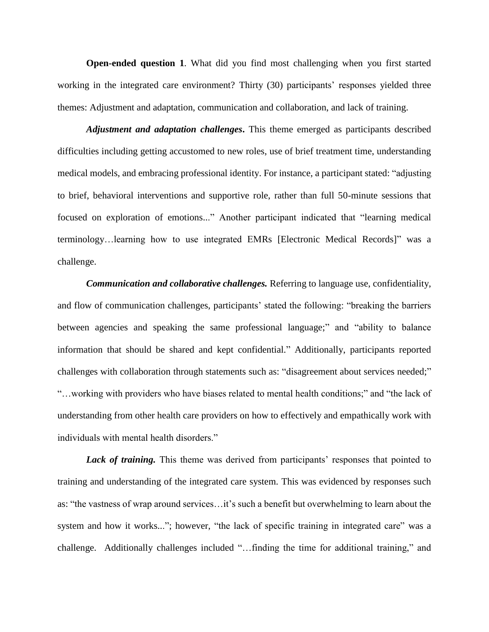**Open-ended question 1**. What did you find most challenging when you first started working in the integrated care environment? Thirty (30) participants' responses yielded three themes: Adjustment and adaptation, communication and collaboration, and lack of training.

*Adjustment and adaptation challenges***.** This theme emerged as participants described difficulties including getting accustomed to new roles, use of brief treatment time, understanding medical models, and embracing professional identity. For instance, a participant stated: "adjusting to brief, behavioral interventions and supportive role, rather than full 50-minute sessions that focused on exploration of emotions..." Another participant indicated that "learning medical terminology…learning how to use integrated EMRs [Electronic Medical Records]" was a challenge.

*Communication and collaborative challenges.* Referring to language use, confidentiality, and flow of communication challenges, participants' stated the following: "breaking the barriers between agencies and speaking the same professional language;" and "ability to balance information that should be shared and kept confidential." Additionally, participants reported challenges with collaboration through statements such as: "disagreement about services needed;" "…working with providers who have biases related to mental health conditions;" and "the lack of understanding from other health care providers on how to effectively and empathically work with individuals with mental health disorders."

*Lack of training.* This theme was derived from participants' responses that pointed to training and understanding of the integrated care system. This was evidenced by responses such as: "the vastness of wrap around services…it's such a benefit but overwhelming to learn about the system and how it works..."; however, "the lack of specific training in integrated care" was a challenge. Additionally challenges included "…finding the time for additional training," and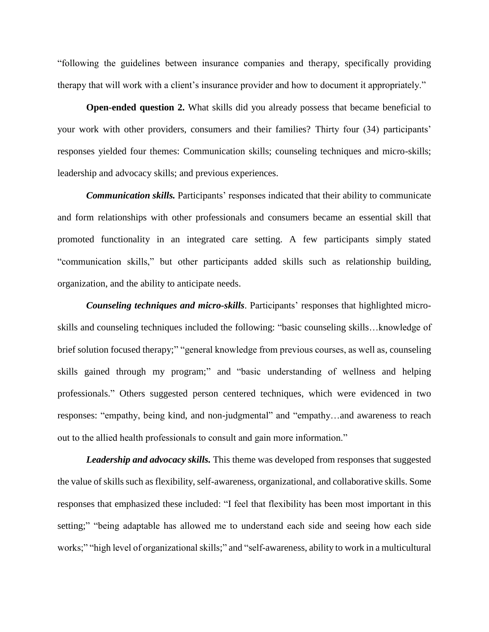"following the guidelines between insurance companies and therapy, specifically providing therapy that will work with a client's insurance provider and how to document it appropriately."

**Open-ended question 2.** What skills did you already possess that became beneficial to your work with other providers, consumers and their families? Thirty four (34) participants' responses yielded four themes: Communication skills; counseling techniques and micro-skills; leadership and advocacy skills; and previous experiences.

*Communication skills.* Participants' responses indicated that their ability to communicate and form relationships with other professionals and consumers became an essential skill that promoted functionality in an integrated care setting. A few participants simply stated "communication skills," but other participants added skills such as relationship building, organization, and the ability to anticipate needs.

*Counseling techniques and micro-skills*. Participants' responses that highlighted microskills and counseling techniques included the following: "basic counseling skills…knowledge of brief solution focused therapy;" "general knowledge from previous courses, as well as, counseling skills gained through my program;" and "basic understanding of wellness and helping professionals." Others suggested person centered techniques, which were evidenced in two responses: "empathy, being kind, and non-judgmental" and "empathy…and awareness to reach out to the allied health professionals to consult and gain more information."

*Leadership and advocacy skills.* This theme was developed from responses that suggested the value of skills such as flexibility, self-awareness, organizational, and collaborative skills. Some responses that emphasized these included: "I feel that flexibility has been most important in this setting;" "being adaptable has allowed me to understand each side and seeing how each side works;" "high level of organizational skills;" and "self-awareness, ability to work in a multicultural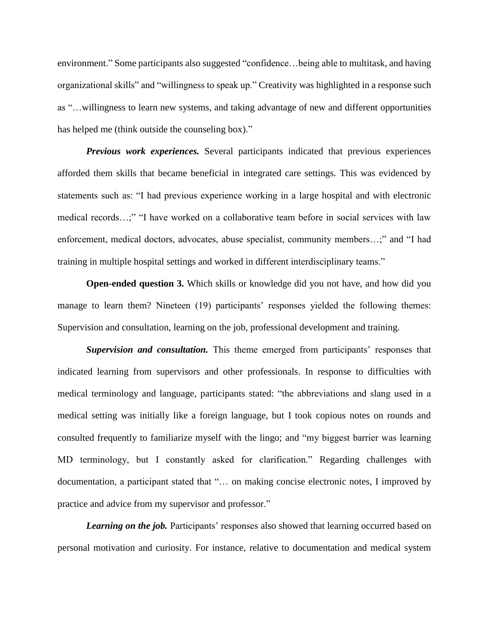environment." Some participants also suggested "confidence…being able to multitask, and having organizational skills" and "willingness to speak up." Creativity was highlighted in a response such as "…willingness to learn new systems, and taking advantage of new and different opportunities has helped me (think outside the counseling box)."

*Previous work experiences.* Several participants indicated that previous experiences afforded them skills that became beneficial in integrated care settings. This was evidenced by statements such as: "I had previous experience working in a large hospital and with electronic medical records…;" "I have worked on a collaborative team before in social services with law enforcement, medical doctors, advocates, abuse specialist, community members…;" and "I had training in multiple hospital settings and worked in different interdisciplinary teams."

**Open-ended question 3.** Which skills or knowledge did you not have, and how did you manage to learn them? Nineteen (19) participants' responses yielded the following themes: Supervision and consultation, learning on the job, professional development and training.

*Supervision and consultation.* This theme emerged from participants' responses that indicated learning from supervisors and other professionals. In response to difficulties with medical terminology and language, participants stated: "the abbreviations and slang used in a medical setting was initially like a foreign language, but I took copious notes on rounds and consulted frequently to familiarize myself with the lingo; and "my biggest barrier was learning MD terminology, but I constantly asked for clarification." Regarding challenges with documentation, a participant stated that "… on making concise electronic notes, I improved by practice and advice from my supervisor and professor."

**Learning on the job.** Participants' responses also showed that learning occurred based on personal motivation and curiosity. For instance, relative to documentation and medical system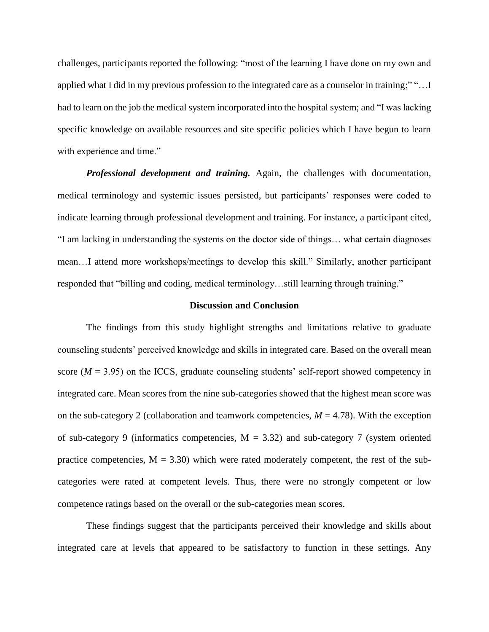challenges, participants reported the following: "most of the learning I have done on my own and applied what I did in my previous profession to the integrated care as a counselor in training;" "…I had to learn on the job the medical system incorporated into the hospital system; and "I was lacking specific knowledge on available resources and site specific policies which I have begun to learn with experience and time."

*Professional development and training.* Again, the challenges with documentation, medical terminology and systemic issues persisted, but participants' responses were coded to indicate learning through professional development and training. For instance, a participant cited, "I am lacking in understanding the systems on the doctor side of things… what certain diagnoses mean…I attend more workshops/meetings to develop this skill." Similarly, another participant responded that "billing and coding, medical terminology…still learning through training."

#### **Discussion and Conclusion**

The findings from this study highlight strengths and limitations relative to graduate counseling students' perceived knowledge and skills in integrated care. Based on the overall mean score  $(M = 3.95)$  on the ICCS, graduate counseling students' self-report showed competency in integrated care. Mean scores from the nine sub-categories showed that the highest mean score was on the sub-category 2 (collaboration and teamwork competencies,  $M = 4.78$ ). With the exception of sub-category 9 (informatics competencies,  $M = 3.32$ ) and sub-category 7 (system oriented practice competencies,  $M = 3.30$ ) which were rated moderately competent, the rest of the subcategories were rated at competent levels. Thus, there were no strongly competent or low competence ratings based on the overall or the sub-categories mean scores.

These findings suggest that the participants perceived their knowledge and skills about integrated care at levels that appeared to be satisfactory to function in these settings. Any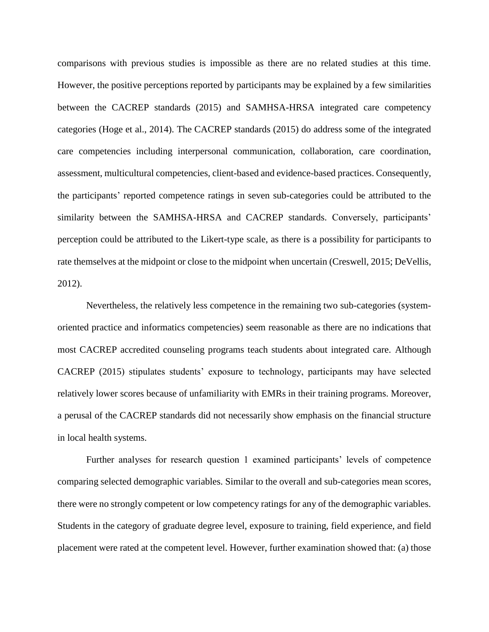comparisons with previous studies is impossible as there are no related studies at this time. However, the positive perceptions reported by participants may be explained by a few similarities between the CACREP standards (2015) and SAMHSA-HRSA integrated care competency categories (Hoge et al., 2014). The CACREP standards (2015) do address some of the integrated care competencies including interpersonal communication, collaboration, care coordination, assessment, multicultural competencies, client-based and evidence-based practices. Consequently, the participants' reported competence ratings in seven sub-categories could be attributed to the similarity between the SAMHSA-HRSA and CACREP standards. Conversely, participants' perception could be attributed to the Likert-type scale, as there is a possibility for participants to rate themselves at the midpoint or close to the midpoint when uncertain (Creswell, 2015; DeVellis, 2012).

Nevertheless, the relatively less competence in the remaining two sub-categories (systemoriented practice and informatics competencies) seem reasonable as there are no indications that most CACREP accredited counseling programs teach students about integrated care. Although CACREP (2015) stipulates students' exposure to technology, participants may have selected relatively lower scores because of unfamiliarity with EMRs in their training programs. Moreover, a perusal of the CACREP standards did not necessarily show emphasis on the financial structure in local health systems.

Further analyses for research question 1 examined participants' levels of competence comparing selected demographic variables. Similar to the overall and sub-categories mean scores, there were no strongly competent or low competency ratings for any of the demographic variables. Students in the category of graduate degree level, exposure to training, field experience, and field placement were rated at the competent level. However, further examination showed that: (a) those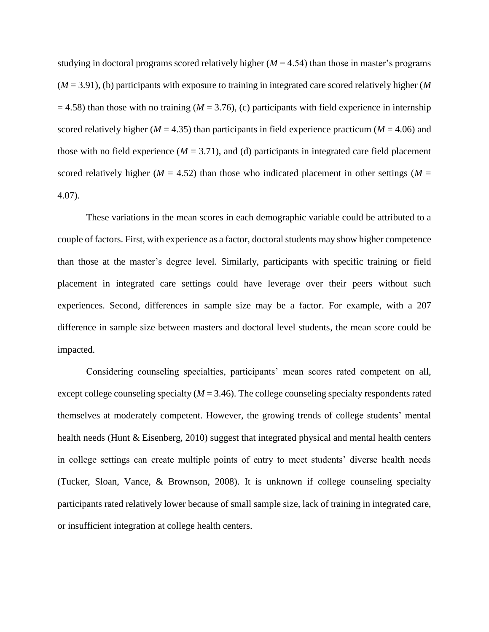studying in doctoral programs scored relatively higher  $(M = 4.54)$  than those in master's programs (*M* = 3.91), (b) participants with exposure to training in integrated care scored relatively higher (*M*  $= 4.58$ ) than those with no training ( $M = 3.76$ ), (c) participants with field experience in internship scored relatively higher ( $M = 4.35$ ) than participants in field experience practicum ( $M = 4.06$ ) and those with no field experience ( $M = 3.71$ ), and (d) participants in integrated care field placement scored relatively higher ( $M = 4.52$ ) than those who indicated placement in other settings ( $M =$ 4.07).

These variations in the mean scores in each demographic variable could be attributed to a couple of factors. First, with experience as a factor, doctoral students may show higher competence than those at the master's degree level. Similarly, participants with specific training or field placement in integrated care settings could have leverage over their peers without such experiences. Second, differences in sample size may be a factor. For example, with a 207 difference in sample size between masters and doctoral level students, the mean score could be impacted.

Considering counseling specialties, participants' mean scores rated competent on all, except college counseling specialty ( $M = 3.46$ ). The college counseling specialty respondents rated themselves at moderately competent. However, the growing trends of college students' mental health needs (Hunt & Eisenberg, 2010) suggest that integrated physical and mental health centers in college settings can create multiple points of entry to meet students' diverse health needs (Tucker, Sloan, Vance, & Brownson, 2008). It is unknown if college counseling specialty participants rated relatively lower because of small sample size, lack of training in integrated care, or insufficient integration at college health centers.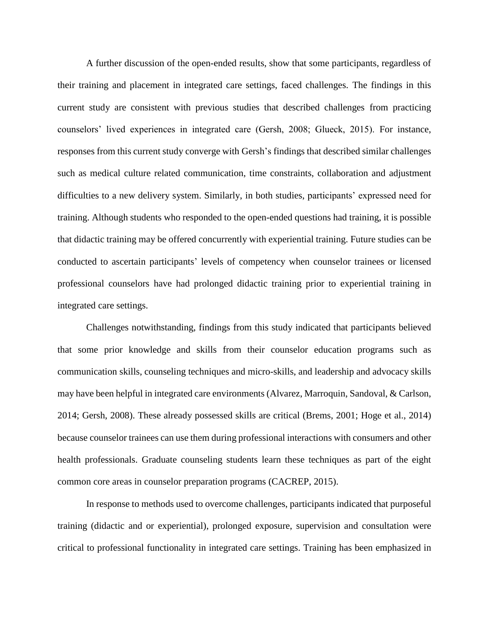A further discussion of the open-ended results, show that some participants, regardless of their training and placement in integrated care settings, faced challenges. The findings in this current study are consistent with previous studies that described challenges from practicing counselors' lived experiences in integrated care (Gersh, 2008; Glueck, 2015). For instance, responses from this current study converge with Gersh's findings that described similar challenges such as medical culture related communication, time constraints, collaboration and adjustment difficulties to a new delivery system. Similarly, in both studies, participants' expressed need for training. Although students who responded to the open-ended questions had training, it is possible that didactic training may be offered concurrently with experiential training. Future studies can be conducted to ascertain participants' levels of competency when counselor trainees or licensed professional counselors have had prolonged didactic training prior to experiential training in integrated care settings.

Challenges notwithstanding, findings from this study indicated that participants believed that some prior knowledge and skills from their counselor education programs such as communication skills, counseling techniques and micro-skills, and leadership and advocacy skills may have been helpful in integrated care environments (Alvarez, Marroquin, Sandoval, & Carlson, 2014; Gersh, 2008). These already possessed skills are critical (Brems, 2001; Hoge et al., 2014) because counselor trainees can use them during professional interactions with consumers and other health professionals. Graduate counseling students learn these techniques as part of the eight common core areas in counselor preparation programs (CACREP, 2015).

In response to methods used to overcome challenges, participants indicated that purposeful training (didactic and or experiential), prolonged exposure, supervision and consultation were critical to professional functionality in integrated care settings. Training has been emphasized in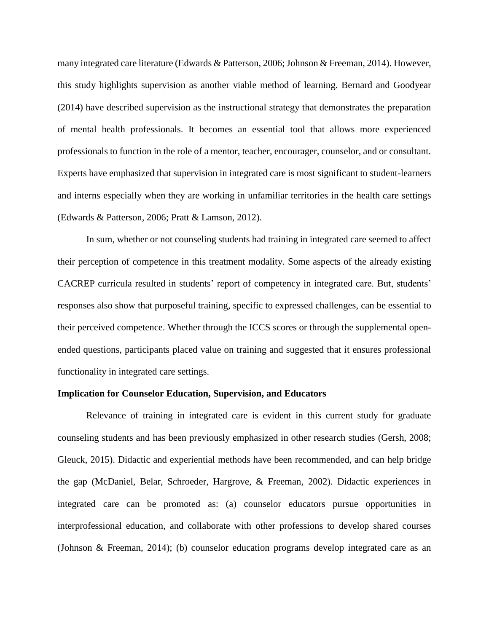many integrated care literature (Edwards & Patterson, 2006; Johnson & Freeman, 2014). However, this study highlights supervision as another viable method of learning. Bernard and Goodyear (2014) have described supervision as the instructional strategy that demonstrates the preparation of mental health professionals. It becomes an essential tool that allows more experienced professionals to function in the role of a mentor, teacher, encourager, counselor, and or consultant. Experts have emphasized that supervision in integrated care is most significant to student-learners and interns especially when they are working in unfamiliar territories in the health care settings (Edwards & Patterson, 2006; Pratt & Lamson, 2012).

In sum, whether or not counseling students had training in integrated care seemed to affect their perception of competence in this treatment modality. Some aspects of the already existing CACREP curricula resulted in students' report of competency in integrated care. But, students' responses also show that purposeful training, specific to expressed challenges, can be essential to their perceived competence. Whether through the ICCS scores or through the supplemental openended questions, participants placed value on training and suggested that it ensures professional functionality in integrated care settings.

#### **Implication for Counselor Education, Supervision, and Educators**

Relevance of training in integrated care is evident in this current study for graduate counseling students and has been previously emphasized in other research studies (Gersh, 2008; Gleuck, 2015). Didactic and experiential methods have been recommended, and can help bridge the gap (McDaniel, Belar, Schroeder, Hargrove, & Freeman, 2002). Didactic experiences in integrated care can be promoted as: (a) counselor educators pursue opportunities in interprofessional education, and collaborate with other professions to develop shared courses (Johnson & Freeman, 2014); (b) counselor education programs develop integrated care as an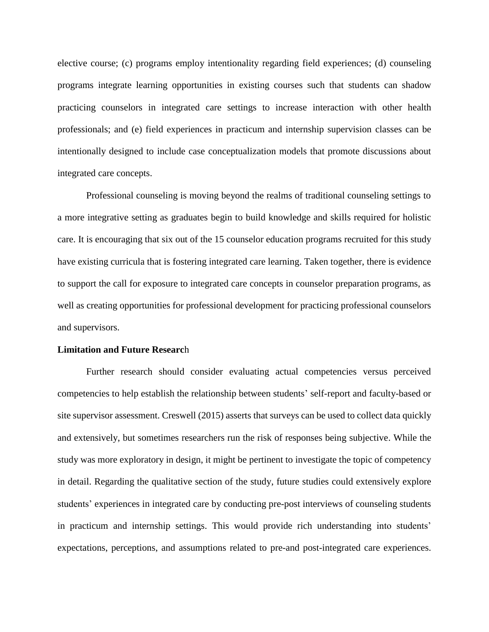elective course; (c) programs employ intentionality regarding field experiences; (d) counseling programs integrate learning opportunities in existing courses such that students can shadow practicing counselors in integrated care settings to increase interaction with other health professionals; and (e) field experiences in practicum and internship supervision classes can be intentionally designed to include case conceptualization models that promote discussions about integrated care concepts.

Professional counseling is moving beyond the realms of traditional counseling settings to a more integrative setting as graduates begin to build knowledge and skills required for holistic care. It is encouraging that six out of the 15 counselor education programs recruited for this study have existing curricula that is fostering integrated care learning. Taken together, there is evidence to support the call for exposure to integrated care concepts in counselor preparation programs, as well as creating opportunities for professional development for practicing professional counselors and supervisors.

## **Limitation and Future Researc**h

Further research should consider evaluating actual competencies versus perceived competencies to help establish the relationship between students' self-report and faculty-based or site supervisor assessment. Creswell (2015) asserts that surveys can be used to collect data quickly and extensively, but sometimes researchers run the risk of responses being subjective. While the study was more exploratory in design, it might be pertinent to investigate the topic of competency in detail. Regarding the qualitative section of the study, future studies could extensively explore students' experiences in integrated care by conducting pre-post interviews of counseling students in practicum and internship settings. This would provide rich understanding into students' expectations, perceptions, and assumptions related to pre-and post-integrated care experiences.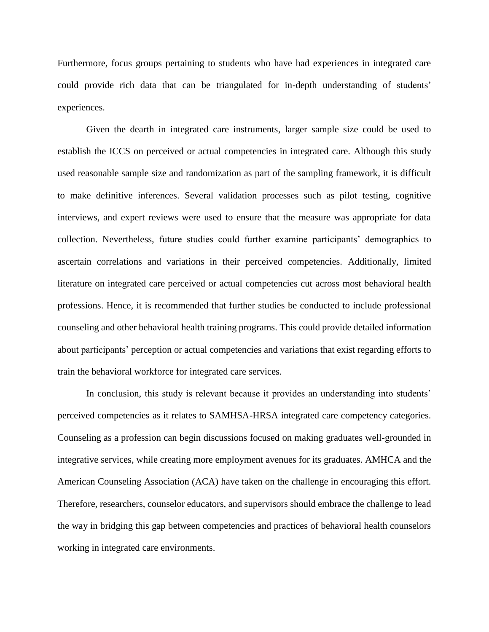Furthermore, focus groups pertaining to students who have had experiences in integrated care could provide rich data that can be triangulated for in-depth understanding of students' experiences.

Given the dearth in integrated care instruments, larger sample size could be used to establish the ICCS on perceived or actual competencies in integrated care. Although this study used reasonable sample size and randomization as part of the sampling framework, it is difficult to make definitive inferences. Several validation processes such as pilot testing, cognitive interviews, and expert reviews were used to ensure that the measure was appropriate for data collection. Nevertheless, future studies could further examine participants' demographics to ascertain correlations and variations in their perceived competencies. Additionally, limited literature on integrated care perceived or actual competencies cut across most behavioral health professions. Hence, it is recommended that further studies be conducted to include professional counseling and other behavioral health training programs. This could provide detailed information about participants' perception or actual competencies and variations that exist regarding efforts to train the behavioral workforce for integrated care services.

In conclusion, this study is relevant because it provides an understanding into students' perceived competencies as it relates to SAMHSA-HRSA integrated care competency categories. Counseling as a profession can begin discussions focused on making graduates well-grounded in integrative services, while creating more employment avenues for its graduates. AMHCA and the American Counseling Association (ACA) have taken on the challenge in encouraging this effort. Therefore, researchers, counselor educators, and supervisors should embrace the challenge to lead the way in bridging this gap between competencies and practices of behavioral health counselors working in integrated care environments.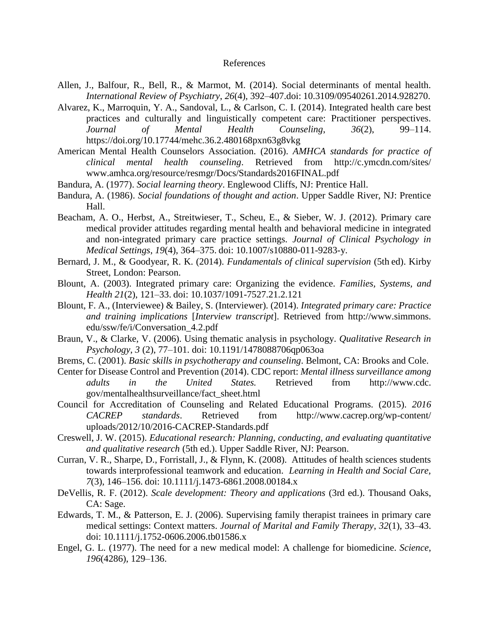## References

- Allen, J., Balfour, R., Bell, R., & Marmot, M. (2014). Social determinants of mental health. *International Review of Psychiatry*, *26*(4), 392–407.doi: 10.3109/09540261.2014.928270.
- Alvarez, K., Marroquin, Y. A., Sandoval, L., & Carlson, C. I. (2014). Integrated health care best practices and culturally and linguistically competent care: Practitioner perspectives. *Journal of Mental Health Counseling*, *36*(2), 99–114. https://doi.org/10.17744/mehc.36.2.480168pxn63g8vkg
- American Mental Health Counselors Association. (2016). *AMHCA standards for practice of clinical mental health counseling*. Retrieved from http://c.ymcdn.com/sites/ www.amhca.org/resource/resmgr/Docs/Standards2016FINAL.pdf
- Bandura, A. (1977). *Social learning theory*. Englewood Cliffs, NJ: Prentice Hall.
- Bandura, A. (1986). *Social foundations of thought and action*. Upper Saddle River, NJ: Prentice Hall.
- Beacham, A. O., Herbst, A., Streitwieser, T., Scheu, E., & Sieber, W. J. (2012). Primary care medical provider attitudes regarding mental health and behavioral medicine in integrated and non-integrated primary care practice settings. *Journal of Clinical Psychology in Medical Settings*, *19*(4), 364–375. doi: 10.1007/s10880-011-9283-y.
- Bernard, J. M., & Goodyear, R. K. (2014). *Fundamentals of clinical supervision* (5th ed). Kirby Street, London: Pearson.
- Blount, A. (2003). Integrated primary care: Organizing the evidence. *Families, Systems, and Health 21*(2), 121–33. doi: 10.1037/1091-7527.21.2.121
- Blount, F. A., (Interviewee) & Bailey, S. (Interviewer). (2014). *Integrated primary care: Practice and training implications* [*Interview transcript*]. Retrieved from http://www.simmons. edu/ssw/fe/i/Conversation\_4.2.pdf
- Braun, V., & Clarke, V. (2006). Using thematic analysis in psychology. *Qualitative Research in Psychology*, *3* (2), 77–101. doi: 10.1191/1478088706qp063oa
- Brems, C. (2001). *Basic skills in psychotherapy and counseling*. Belmont, CA: Brooks and Cole.
- Center for Disease Control and Prevention (2014). CDC report: *Mental illness surveillance among adults in the United States.* Retrieved from http://www.cdc. gov/mentalhealthsurveillance/fact\_sheet.html
- Council for Accreditation of Counseling and Related Educational Programs. (2015). *2016 CACREP standards*. Retrieved from http://www.cacrep.org/wp-content/ uploads/2012/10/2016-CACREP-Standards.pdf
- Creswell, J. W. (2015). *Educational research: Planning, conducting, and evaluating quantitative and qualitative research* (5th ed.). Upper Saddle River, NJ: Pearson.
- Curran, V. R., Sharpe, D., Forristall, J., & Flynn, K. (2008). Attitudes of health sciences students towards interprofessional teamwork and education. *Learning in Health and Social Care, 7*(3), 146–156. doi: 10.1111/j.1473-6861.2008.00184.x
- DeVellis, R. F. (2012). *Scale development: Theory and applications* (3rd ed.). Thousand Oaks, CA: Sage.
- Edwards, T. M., & Patterson, E. J. (2006). Supervising family therapist trainees in primary care medical settings: Context matters. *Journal of Marital and Family Therapy*, *32*(1), 33–43. doi: 10.1111/j.1752-0606.2006.tb01586.x
- Engel, G. L. (1977). The need for a new medical model: A challenge for biomedicine. *Science*, *196*(4286), 129–136.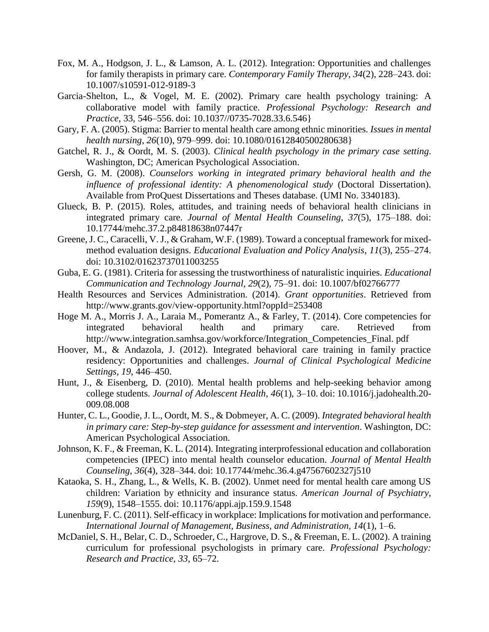- Fox, M. A., Hodgson, J. L., & Lamson, A. L. (2012). Integration: Opportunities and challenges for family therapists in primary care. *Contemporary Family Therapy*, *34*(2), 228–243. doi: 10.1007/s10591-012-9189-3
- Garcia-Shelton, L., & Vogel, M. E. (2002). Primary care health psychology training: A collaborative model with family practice. *Professional Psychology: Research and Practice,* 33, 546–556. doi: 10.1037//0735-7028.33.6.546}
- Gary, F. A. (2005). Stigma: Barrier to mental health care among ethnic minorities. *Issues in mental health nursing*, *26*(10), 979–999. doi: 10.1080/01612840500280638}
- Gatchel, R. J., & Oordt, M. S. (2003). *Clinical health psychology in the primary case setting*. Washington, DC; American Psychological Association.
- Gersh, G. M. (2008). *Counselors working in integrated primary behavioral health and the influence of professional identity: A phenomenological study* (Doctoral Dissertation). Available from ProQuest Dissertations and Theses database. (UMI No. 3340183).
- Glueck, B. P. (2015). Roles, attitudes, and training needs of behavioral health clinicians in integrated primary care. *Journal of Mental Health Counseling*, *37*(5), 175–188. doi: 10.17744/mehc.37.2.p84818638n07447r
- Greene,J. C., Caracelli, V. J., & Graham, W.F. (1989). Toward a conceptual framework for mixedmethod evaluation designs. *Educational Evaluation and Policy Analysis*, *11*(3), 255–274. doi: 10.3102/01623737011003255
- Guba, E. G. (1981). Criteria for assessing the trustworthiness of naturalistic inquiries. *Educational Communication and Technology Journal, 29*(2), 75–91. doi: 10.1007/bf02766777
- Health Resources and Services Administration. (2014). *Grant opportunities*. Retrieved from http://www.grants.gov/view-opportunity.html?oppId=253408
- Hoge M. A., Morris J. A., Laraia M., Pomerantz A., & Farley, T. (2014). Core competencies for integrated behavioral health and primary care. Retrieved from http://www.integration.samhsa.gov/workforce/Integration\_Competencies\_Final. pdf
- Hoover, M., & Andazola, J. (2012). Integrated behavioral care training in family practice residency: Opportunities and challenges. *Journal of Clinical Psychological Medicine Settings, 19*, 446–450.
- Hunt, J., & Eisenberg, D. (2010). Mental health problems and help-seeking behavior among college students. *Journal of Adolescent Health, 46*(1), 3–10. doi: 10.1016/j.jadohealth.20- 009.08.008
- Hunter, C. L., Goodie, J. L., Oordt, M. S., & Dobmeyer, A. C. (2009). *Integrated behavioral health in primary care: Step-by-step guidance for assessment and intervention*. Washington, DC: American Psychological Association.
- Johnson, K. F., & Freeman, K. L. (2014). Integrating interprofessional education and collaboration competencies (IPEC) into mental health counselor education. *Journal of Mental Health Counseling*, *36*(4), 328–344. doi: 10.17744/mehc.36.4.g47567602327j510
- Kataoka, S. H., Zhang, L., & Wells, K. B. (2002). Unmet need for mental health care among US children: Variation by ethnicity and insurance status. *American Journal of Psychiatry*, *159*(9), 1548–1555. doi: 10.1176/appi.ajp.159.9.1548
- Lunenburg, F. C. (2011). Self-efficacy in workplace: Implications for motivation and performance. *International Journal of Management, Business, and Administration, 14*(1), 1–6.
- McDaniel, S. H., Belar, C. D., Schroeder, C., Hargrove, D. S., & Freeman, E. L. (2002). A training curriculum for professional psychologists in primary care. *Professional Psychology: Research and Practice*, *33*, 65–72.